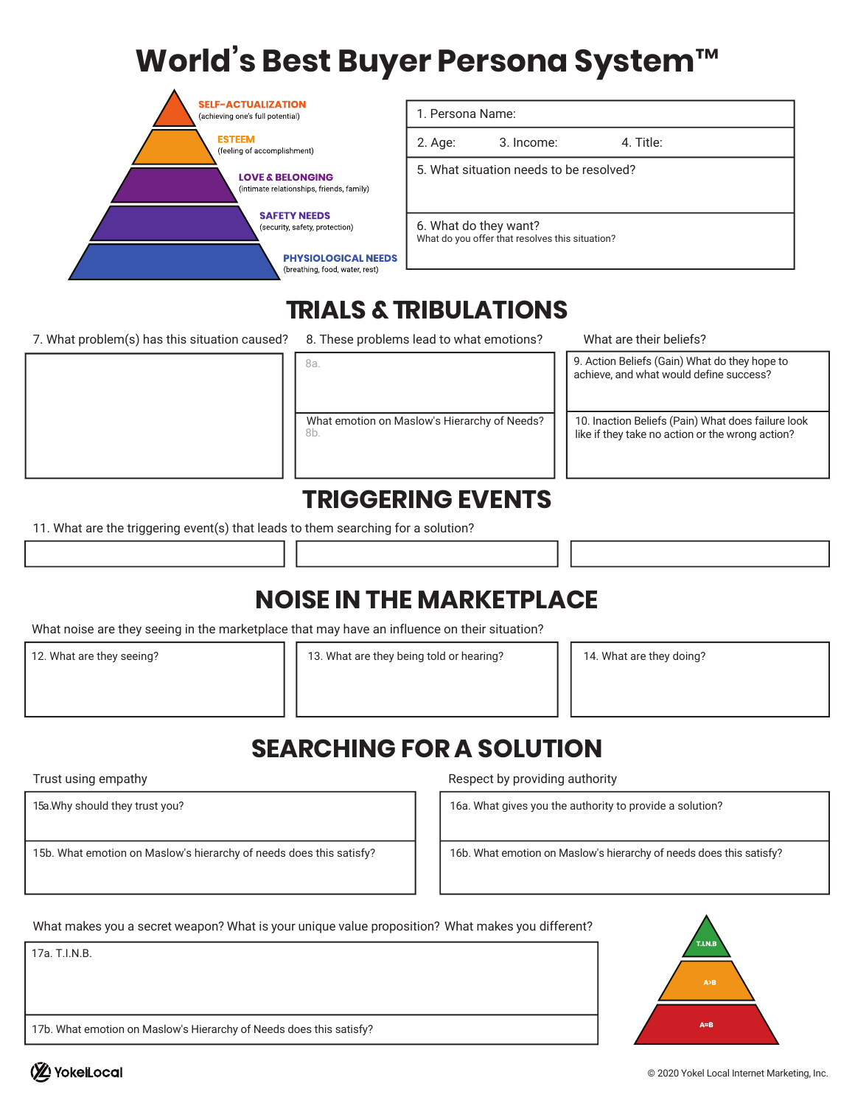# **World's Best Buyer Persona System™**

| 1. Persona Name:                                |  |
|-------------------------------------------------|--|
| 4. Title:<br>2. Age:<br>3. Income:              |  |
| 5. What situation needs to be resolved?         |  |
|                                                 |  |
| 6. What do they want?                           |  |
| What do you offer that resolves this situation? |  |
|                                                 |  |
|                                                 |  |

### **TRIALS &TRIBULATIONS**

7. What problem(s) has this situation caused? 8. These problems lead to what emotions?

8b. What emotion on Maslow's Hierarchy of Needs? What are their beliefs?

9. Action Beliefs (Gain) What do they hope to achieve, and what would define success?

10. Inaction Beliefs (Pain) What does failure look like if they take no action or the wrong action?

#### **TRIGGERING EVENTS**

11. What are the triggering event(s) that leads to them searching for a solution?

# **NOISE IN THE MARKETPLACE**

What noise are they seeing in the marketplace that may have an influence on their situation?

8a.

12. What are they seeing?

13. What are they being told or hearing? 14. What are they doing?

# **SEARCHING FOR A SOLUTION**

Trust using empathy

15a .Why should they trust you?

15b. What emotion on Maslow's hierarchy of needs does this satisfy?

Respect by providing authority

16a. What gives you the authority to provide a solution?

16b. What emotion on Maslow's hierarchy of needs does this satisfy?

What makes you a secret weapon? What is your unique value proposition? What makes you different?

17a. T.I.N.B.

17b. What emotion on Maslow's Hierarchy of Needs does this satisfy?